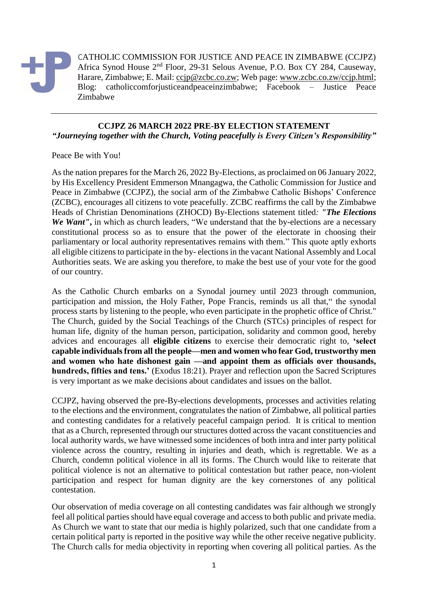

CATHOLIC COMMISSION FOR JUSTICE AND PEACE IN ZIMBABWE (CCJPZ) Africa Synod House 2nd Floor, 29-31 Selous Avenue, P.O. Box CY 284, Causeway, Harare, Zimbabwe; E. Mail: [ccjp@zcbc.co.zw;](mailto:ccjp@zcbc.co.zw) Web page: [www.zcbc.co.zw/ccjp.html;](http://www.zcbc.co.zw/ccjp.html) Blog: catholiccomforjusticeandpeaceinzimbabwe; Facebook – Justice Peace Zimbabwe

## **CCJPZ 26 MARCH 2022 PRE-BY ELECTION STATEMENT** *"Journeying together with the Church, Voting peacefully is Every Citizen's Responsibility"*

## Peace Be with You!

As the nation prepares for the March 26, 2022 By-Elections, as proclaimed on 06 January 2022, by His Excellency President Emmerson Mnangagwa, the Catholic Commission for Justice and Peace in Zimbabwe (CCJPZ), the social arm of the Zimbabwe Catholic Bishops' Conference (ZCBC), encourages all citizens to vote peacefully. ZCBC reaffirms the call by the Zimbabwe Heads of Christian Denominations (ZHOCD) By-Elections statement titled*: "The Elections We Want"***,** in which as church leaders, "We understand that the by-elections are a necessary constitutional process so as to ensure that the power of the electorate in choosing their parliamentary or local authority representatives remains with them." This quote aptly exhorts all eligible citizens to participate in the by- elections in the vacant National Assembly and Local Authorities seats. We are asking you therefore, to make the best use of your vote for the good of our country.

As the Catholic Church embarks on a Synodal journey until 2023 through communion, participation and mission, the Holy Father, Pope Francis, reminds us all that," the synodal process starts by listening to the people, who even participate in the prophetic office of Christ." The Church, guided by the Social Teachings of the Church (STCs) principles of respect for human life, dignity of the human person, participation, solidarity and common good, hereby advices and encourages all **eligible citizens** to exercise their democratic right to, **'select capable individuals from all the people—men and women who fear God, trustworthy men and women who hate dishonest gain —and appoint them as officials over thousands, hundreds, fifties and tens.'** (Exodus 18:21). Prayer and reflection upon the Sacred Scriptures is very important as we make decisions about candidates and issues on the ballot.

CCJPZ, having observed the pre-By-elections developments, processes and activities relating to the elections and the environment, congratulates the nation of Zimbabwe, all political parties and contesting candidates for a relatively peaceful campaign period. It is critical to mention that as a Church, represented through our structures dotted across the vacant constituencies and local authority wards, we have witnessed some incidences of both intra and inter party political violence across the country, resulting in injuries and death, which is regrettable. We as a Church, condemn political violence in all its forms. The Church would like to reiterate that political violence is not an alternative to political contestation but rather peace, non-violent participation and respect for human dignity are the key cornerstones of any political contestation.

Our observation of media coverage on all contesting candidates was fair although we strongly feel all political parties should have equal coverage and access to both public and private media. As Church we want to state that our media is highly polarized, such that one candidate from a certain political party is reported in the positive way while the other receive negative publicity. The Church calls for media objectivity in reporting when covering all political parties. As the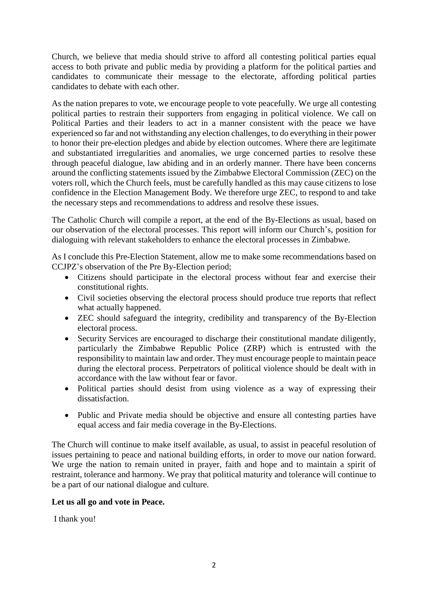Church, we believe that media should strive to afford all contesting political parties equal access to both private and public media by providing a platform for the political parties and candidates to communicate their message to the electorate, affording political parties candidates to debate with each other.

As the nation prepares to vote, we encourage people to vote peacefully. We urge all contesting political parties to restrain their supporters from engaging in political violence. We call on Political Parties and their leaders to act in a manner consistent with the peace we have experienced so far and not withstanding any election challenges, to do everything in their power to honor their pre-election pledges and abide by election outcomes. Where there are legitimate and substantiated irregularities and anomalies, we urge concerned parties to resolve these through peaceful dialogue, law abiding and in an orderly manner. There have been concerns around the conflicting statements issued by the Zimbabwe Electoral Commission (ZEC) on the voters roll, which the Church feels, must be carefully handled as this may cause citizens to lose confidence in the Election Management Body. We therefore urge ZEC, to respond to and take the necessary steps and recommendations to address and resolve these issues.

The Catholic Church will compile a report, at the end of the By-Elections as usual, based on our observation of the electoral processes. This report will inform our Church's, position for dialoguing with relevant stakeholders to enhance the electoral processes in Zimbabwe.

As I conclude this Pre-Election Statement, allow me to make some recommendations based on CCJPZ's observation of the Pre By-Election period;

- Citizens should participate in the electoral process without fear and exercise their constitutional rights.
- Civil societies observing the electoral process should produce true reports that reflect what actually happened.
- ZEC should safeguard the integrity, credibility and transparency of the By-Election electoral process.
- Security Services are encouraged to discharge their constitutional mandate diligently, particularly the Zimbabwe Republic Police (ZRP) which is entrusted with the responsibility to maintain law and order. They must encourage people to maintain peace during the electoral process. Perpetrators of political violence should be dealt with in accordance with the law without fear or favor.
- Political parties should desist from using violence as a way of expressing their dissatisfaction.
- Public and Private media should be objective and ensure all contesting parties have equal access and fair media coverage in the By-Elections.

The Church will continue to make itself available, as usual, to assist in peaceful resolution of issues pertaining to peace and national building efforts, in order to move our nation forward. We urge the nation to remain united in prayer, faith and hope and to maintain a spirit of restraint, tolerance and harmony. We pray that political maturity and tolerance will continue to be a part of our national dialogue and culture.

## **Let us all go and vote in Peace.**

I thank you!